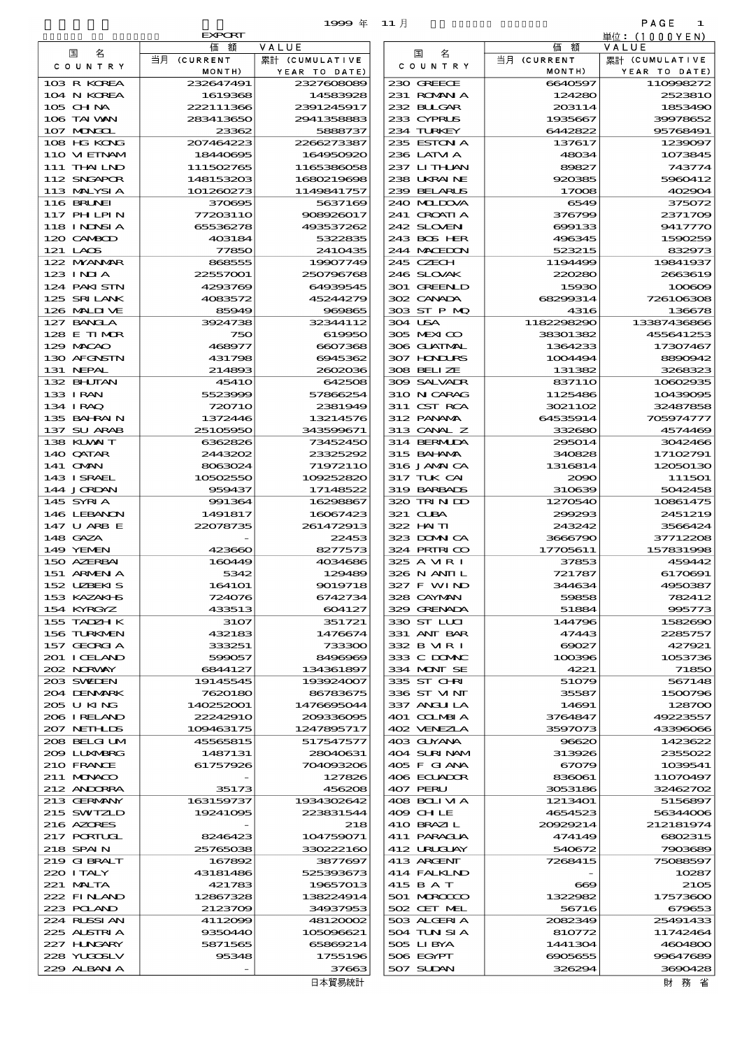|  | 1995 |
|--|------|
|  |      |

|                              |                        | 1999年 11月                |                            |                       | PAGE<br>1               |
|------------------------------|------------------------|--------------------------|----------------------------|-----------------------|-------------------------|
|                              | <b>EXPORT</b>          |                          |                            |                       | 単位:(1000YEN)            |
| 名<br>国                       | 価<br>額<br>当月 (CURRENT  | VALUE<br>累計 (CUMULATIVE  | 名<br>国                     | 額<br>価<br>当月 (CURRENT | VALUE<br>累計 (CUMULATIVE |
| COUNTRY                      | MONTH)                 | YEAR TO DATE)            | COUNTRY                    | MONTH)                | YEAR TO DATE)           |
| 103 R KOREA                  | 232647491              | 2327608089               | 230 GREECE                 | 6640597               | 110998272               |
| 104 N KOREA                  | 1619368                | 14583928                 | 231 ROMANIA                | 124280                | 2523810                 |
| 105 CHNA<br>106 TAI WAN      | 222111366<br>283413650 | 2391245917<br>2941358883 | 232 BUGAR<br>233 CYPRUS    | 2003114<br>1935667    | 1853490<br>39978652     |
| 107 MONGOL                   | 23362                  | 5888737                  | 234 TURKEY                 | 6442822               | 95768491                |
| 108 HG KONG                  | 207464223              | 2266273387               | 235 ESTON A                | 137617                | 1239097                 |
| 110 VI EINAM                 | 18440695               | 164950920                | 236 LATM A                 | 48034                 | 1073845                 |
| 111 THAI LND<br>112 SNGAPOR  | 111502765              | 1165386058               | 237 LITHAN<br>238 UKRAINE  | 89827                 | 743774                  |
| 113 MALYSIA                  | 148153203<br>101260273 | 1680219698<br>1149841757 | 239 BELARUS                | 920385<br>17008       | 5960412<br>402904       |
| 116 BRUNEI                   | 370695                 | 5637169                  | 240 MIDOVA                 | 6549                  | 375072                  |
| 117 PHLPIN                   | 77203110               | 908926017                | 241 CROATIA                | 376799                | 2371709                 |
| 118 I NDSI A                 | 65536278               | 493537262                | 242 SLOVENI                | 699133                | 9417770                 |
| 120 CAMBOD<br>121 LAOS       | 403184<br>77850        | 5322835<br>2410435       | 243 BOS HER<br>244 MACEDON | 496345<br>523215      | 1590259<br>832973       |
| 122 MYANAR                   | 868555                 | 19907749                 | 245 CZECH                  | 1194499               | 19841937                |
| 123 INJA                     | 22557001               | 250796768                | 246 SLOVAK                 | 220280                | 2663619                 |
| 124 PAKI STN                 | 4293769                | 64939545                 | 301 GREENLD                | 15930                 | 100609                  |
| 125 SRILANK<br>126 MALIT VE  | 4083572<br>85949       | 45244279<br>969865       | 302 CANADA<br>303 ST P MQ  | 68299314<br>4316      | 726106308<br>136678     |
| 127 BANCLA                   | 3924738                | 32344112                 | 304 USA                    | 1182298290            | 13387436866             |
| 128 E TIMOR                  | 750                    | 619950                   | 305 MEXICO                 | 38301382              | 455641253               |
| 129 MACAO                    | 468977                 | 6607368                  | 306 GUATMAL                | 1364233               | 17307467                |
| 130 AFGNSTN                  | 431798                 | 6945362                  | 307 HNURS<br>308 BELIZE    | 1004494               | 8890942                 |
| 131 NEPAL<br>132 BHUTAN      | 214893<br><b>45410</b> | 2602036<br>642508        | 309 SALVADR                | 131382<br>837110      | 3268323<br>10602935     |
| 133 IRAN                     | 5523999                | 57866254                 | 310 N CARAG                | 1125486               | 10439095                |
| 134 I RAQ                    | 720710                 | 2381949                  | 311 CST RCA                | 3021102               | 32487858                |
| 135 BAHRAIN                  | 1372446                | 13214576                 | 312 PANAMA                 | 64535914              | 705974777               |
| 137 SU ARAB<br>138 KUWAIT    | 25105950<br>6362826    | 343599671<br>73452450    | 313 CANAL Z<br>314 BERMIDA | 332680<br>295014      | 4574469<br>3042466      |
| 140 QATAR                    | 2443202                | 23325292                 | 315 BAI ANA                | 340828                | 17102791                |
| 141 CMAN                     | 8063024                | 71972110                 | 316 JAMAICA                | 1316814               | 12050130                |
| 143 ISRAEL                   | 10502550               | 109252820                | 317 TUK CAI                | 2090                  | 111501                  |
| 144 JORDAN<br>145 SYRIA      | 959437<br>991364       | 17148522<br>16298867     | 319 BARBADS<br>320 TRINDO  | 310639<br>1270540     | 5042458<br>10861475     |
| 146 LEBANON                  | 1491817                | 16067423                 | 321 CUBA                   | 299293                | 2451219                 |
| 147 U ARB E                  | 22078735               | 261472913                | 322 HAITI                  | 243242                | 3566424                 |
| 148 GAZA                     |                        | 22453                    | 323 DOMNICA                | 3666790               | 37712208                |
| 149 YEMEN<br>150 AZERBAI     | 423660                 | 8277573                  | 324 PRIRICO<br>325 A MR I  | 17705611<br>37853     | 157831998<br>459442     |
| 151 ARMEN A                  | 160449<br>5342         | 4034686<br>129489        | 326 N ANII L               | 721787                | 6170691                 |
| 152 UZBEKIS                  | 164101                 | 9019718                  | 327 F WIND                 | 344634                | 4950387                 |
| 153 KAZAKI B                 | 724076                 | 6742734                  | 328 CAYMAN                 | 59858                 | 782412                  |
| 154 KYRGYZ                   | 433513                 | 604127                   | 329 GRENADA                | 51884                 | 995773                  |
| 155 TADZH K<br>156 TURKMEN   | 3107<br>432183         | 351721<br>1476674        | 330 ST LUI<br>331 ANT BAR  | 144796<br>47443       | 1582690<br>2285757      |
| 157 GEORGIA                  | 333251                 | 733300                   | 332 B MR I                 | 69027                 | 427921                  |
| 201 I CELAND                 | 599057                 | 8496969                  | 333 C DOMAC                | 100396                | 1053736                 |
| 202 NRWAY                    | 6844127                | 134361897                | 334 MONT SE                | 4221                  | 71850                   |
| 203 SWIDEN<br>204 DENMARK    | 19145545<br>7620180    | 193924007<br>86783675    | 335 ST CHRI<br>336 ST VINT | 51079<br>35587        | 567148<br>1500796       |
| 205 U KING                   | 140252001              | 1476695044               | 337 ANGLILA                | 14691                 | 128700                  |
| 206 I RELAND                 | 22242910               | 200336005                | 401 COLMBIA                | 3764847               | 49223557                |
| 207 NETH LDS                 | 109463175              | 1247895717               | 402 VENEZIA                | 3597073               | 43396066                |
| 208 BELGI UM<br>2009 LUNABRG | 45565815<br>1487131    | 517547577<br>28040631    | 403 GUYANA<br>404 SURINAM  | 96620<br>313926       | 1423622<br>2355022      |
| 210 FRANCE                   | 61757926               | 704093206                | 405 F GIANA                | 67079                 | 1039541                 |
| 211 MUNACO                   |                        | 127826                   | 406 ECUADOR                | 836061                | 11070497                |
| 212 ANDORRA                  | 35173                  | 456208                   | 407 PERU                   | 3053186               | 32462702                |
| 213 GERMANY                  | 163159737              | 1934302642               | 408 BOLIMA                 | 1213401               | 5156897                 |
| 215 SWIZLD<br>216 AZORES     | 19241095               | 223831544<br>218         | 409 CHLE<br>410 BRAZIL     | 4654523<br>20929214   | 56344006<br>212181974   |
| 217 PORTUGL                  | 8246423                | 104759071                | 411 PARAGUA                | 474149                | 6802315                 |
| 218 SPAIN                    | 25765038               | 330222160                | 412 URUCLAY                | 540672                | 7903689                 |
| 219 GIBRALT                  | 167892                 | 3877697                  | 413 ARCENT                 | 7268415               | 75088597                |
| 220 I TALY<br>221 MALTA      | 43181486<br>421783     | 525393673<br>19657013    | 414 FALKLND<br>415 B A T   | $\infty$              | 10287<br>2105           |
| 222 FINAND                   | 12867328               | 138224914                | 501 MROCCO                 | 1322982               | 17573600                |
| 223 POLAND                   | 2123709                | 34937953                 | 502 CET MEL                | 56716                 | 679653                  |
| 224 RUSSI AN                 | 4112099                | 48120002                 | 503 ALGERIA                | 2082349               | 25491433                |
| 225 ALSTRIA<br>227 HNGARY    | 9350440<br>5871565     | 105096621<br>65869214    | 504 TUN SI A<br>505 LIBYA  | 810772<br>1441304     | 11742464<br>4604800     |
| 228 YUQOSLV                  | 95348                  | 1755196                  | 506 EGYPT                  | 6905655               | 99647689                |
| 229 ALBAN A                  |                        | 37663                    | 507 SUDAN                  | 326294                | 3690428                 |
|                              |                        | 日本貿易統計                   |                            |                       | 財 務 省                   |

|                             | <b>EXPORT</b>          |                                |
|-----------------------------|------------------------|--------------------------------|
| 国<br>名                      | 価額<br>当月 (CURRENT      | VALUE                          |
| COUNTRY                     | MONTH)                 | 累計 (CUMULATIVE<br>YEAR TO DATE |
| 103 R KOREA                 | 232647491              | 232760808                      |
| 104 N KOREA                 | 1619368                | 1458392                        |
| 105 CHNA<br>106 TAI VAN     | 222111366<br>283413650 | 2391245917<br>294135888        |
| 107 MAKKEL                  | 23362                  | 588873                         |
| 108 HG KONG                 | 207464223              | 226627338                      |
| 110 VIEINAM                 | 18440695               | 164950920                      |
| 111 THAI LND<br>112 SNGAPOR | 111502765<br>148153203 | 1165386058<br>168021969        |
| 113 MALYSIA                 | 101260273              | 1149841757                     |
| <b>116 BRUNEI</b>           | 370695                 | 563716                         |
| 117 PHLPIN                  | 77203110               | 908926017                      |
| 118 I NDNSI A<br>120 CAMBOD | 65536278<br>403184     | 49353726<br>5322835            |
| 121 LAOS                    | 77850                  | 241043                         |
| 122 NYANAR                  | 868555                 | 19907749                       |
| $123$ INIA                  | 22557001               | 25079676                       |
| 124 PAKI STN<br>125 SRILANK | 4293769<br>4083572     | 6493954<br>45244279            |
| 126 MALINE                  | 85949                  | 98886                          |
| 127 BANCLA                  | 3924738                | 32344112                       |
| 128 E TIMOR                 | 750                    | 619950                         |
| 129 MACAO<br>130 AFGNSTN    | 468977                 | 660736                         |
| 131 NEPAL                   | 431798<br>214893       | 694536<br>260203               |
| 132 BHUTAN                  | <b>45410</b>           | 642506                         |
| 133 I RAN                   | 5523999                | 5786625                        |
| 134 IRAQ<br>135 BAHRAIN     | 720710<br>1372446      | 2381949<br>13214576            |
| 137 SU ARAB                 | 25105950               | 343599671                      |
| 138 KUWAIT                  | 6362826                | 73452450                       |
| 140 QATAR                   | 2443202                | 23325296                       |
| 141 OMN<br>143 I SRAEL      | 8063024<br>10502550    | 71972110<br>109252820          |
| 144 JORDAN                  | 959437                 | 17148522                       |
| 145 SYRIA                   | 991364                 | 1629886                        |
| 146 LEBANON                 | 1491817                | 1606742                        |
| 147 U ARB E<br>148 GAZA     | 22078735               | 261472913<br>22453             |
| 149 YEMEN                   | 423660                 | 827757.                        |
| 150 AZERBAI                 | 160449                 | 4034686                        |
| 151 ARMEN A                 | 5342                   | 12948                          |
| 152 UZBEKIS<br>153 KAZAKI B | 164101<br>724076       | 9019718<br>6742734             |
| 154 KYRGYZ                  | 433513                 | 604127                         |
| 155 TADZH K                 | 3107                   | 351721                         |
| 156 TURKMEN                 | 432183                 | 1476674                        |
| 157 GEORGIA<br>201 I CELAND | 333251<br>599057       | 733300<br>8496966              |
| 202 NORWAY                  | 6844127                | 134361897                      |
| 203 SWIDEN                  | 19145545               | 193924007                      |
| 204 DENMARK                 | 7620180                | 86783675                       |
| 205 U KING<br>206 I RELAND  | 140252001<br>22242910  | 147669504<br>20933609          |
| 207 NETHLIS                 | 109463175              | 1247895717                     |
| 208 BELGI UM                | 45565815               | 51754757                       |
| 2009 LUNABRG                | 1487131                | 28040631                       |
| 210 FRANCE<br>211 MONACO    | 61757926               | 704093206<br>127820            |
| 212 ANDORRA                 | 35173                  | 456206                         |
| 213 GERMANY                 | 163159737              | 1934302642                     |
| 215 SWIZLD                  | 19241095               | 22383154                       |
| 216 AZORES<br>217 PORTUGL   | 8246423                | 218<br>104759071               |
| 218 SPAIN                   | 25765038               | 330222160                      |
| 219 GIBRALT                 | 167892                 | 3877697                        |
| 220 I TALY                  | 43181486               | 525393673                      |
| 221 MALTA<br>222 FINAND     | 421783                 | 19657013                       |
| 223 POLAND                  | 12867328<br>2123709    | 138224914<br>34937953          |
| 224 RUSSI AN                | 4112099                | 4812000                        |
| 225 ALSTRIA                 | 9350440                | 105096621                      |
| 227 H.NGARY                 | 5871565<br>95348       | 65869214<br>1755196            |
| 228 YUQOSLV<br>229 ALBAN A  |                        | 3766                           |
|                             |                        |                                |